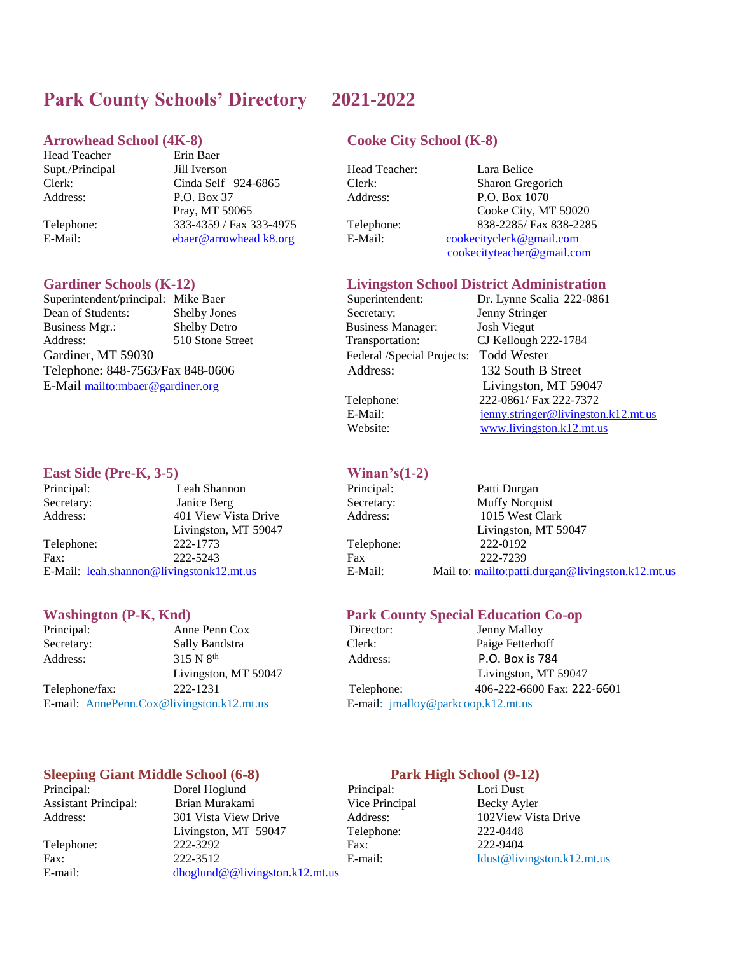## **Park County Schools' Directory 2021-2022**

### **Arrowhead School (4K-8) Cooke City School (K-8)**

Head Teacher Erin Baer

Supt./Principal Jill Iverson Head Teacher: Lara Belice<br>Clerk: Cinda Self 924-6865 Clerk: Sharon Gree Clerk: Cinda Self 924-6865 Clerk: Sharon Gregorich Address: P.O. Box 37 Address: P.O. Box 1070 Telephone: 333-4359 / Fax 333-4975 Telephone: 838-2285/ Fax 838-2285 E-Mail: [ebaer@arrowhead k8.org](ebaer@arrowhead%20k8.org) E-Mail: [cookecityclerk@gmail.com](mailto:cookecityclerk@gmail.com)

Superintendent/principal: Mike Baer Superintendent: Dr. Lynne Scalia 222-0861 Dean of Students: Shelby Jones Secretary: Jenny Stringer<br>
Business Mgr.: Shelby Detro Business Manager: Josh Viegut Business Mgr.: Shelby Detro Business Manager: Josh Viegut Address: 510 Stone Street Transportation: CJ Kellough 222-1784 Gardiner, MT 59030 Federal /Special Projects: Todd Wester Telephone: 848-7563/Fax 848-0606 Address: 132 South B Street E-Mail <mailto:mbaer@gardiner.org> Livingston, MT 59047

### **East Side (Pre-K, 3-5) Winan's(1-2)**

Principal: Leah Shannon Principal: Patti Durgan Secretary: Janice Berg Secretary: Muffy Norquist Address: 401 View Vista Drive Address: 1015 West Clark Telephone: 222-1773 Telephone: 222-0192 Fax: 222-5243 Fax 222-7239 E-Mail: [leah.shannon@livingstonk12.mt.us](mailto:leah.shannon@livingstonk12.mt.us) E-Mail: Mail to[: mailto:patti.durgan@livingston.k12.mt.us](mailto:patti.durgan@livingston.k12.mt.us)

Principal: Anne Penn Cox Director: Jenny Malloy Secretary: Sally Bandstra Clerk: Paige Fetterhoff Address: 315 N 8<sup>th</sup> E-mail: AnnePenn.Cox@livingston.k12.mt.us E-mail: jmalloy@parkcoop.k12.mt.us

### **Sleeping Giant Middle School (6-8)** Park High School (9-12)

Principal: Dorel Hoglund Principal: Lori Dust Assistant Principal: Brian Murakami Vice Principal Becky Ayler Address: 301 Vista View Drive Address: 102View Vista Drive Livingston, MT 59047 Telephone: 222-0448 Telephone: 222-3292 Fax: 222-9404 Fax: 222-3512 E-mail: ldust@livingston.k12.mt.us E-mail: <dhoglund@@livingston.k12.mt.us>

Pray, MT 59065 Cooke City, MT 59020 [cookecityteacher@gmail.com](mailto:cookecityteacher@gmail.com)

### **Gardiner Schools (K-12) Livingston School District Administration**

 Telephone: 222-0861/ Fax 222-7372 E-Mail: ienny.stringer@livingston.k12.mt.us Website: [www.livingston.k12.mt.us](http://www.livingston.k12.mt.us/)

Livingston, MT 59047 Livingston, MT 59047

### **Washington (P-K, Knd)** Park County Special Education Co-op

 Address: P.O. Box is 784 Livingston, MT 59047 Livingston, MT 59047 Telephone/fax: 222-1231 Telephone: 406-222-6600 Fax: 222-6601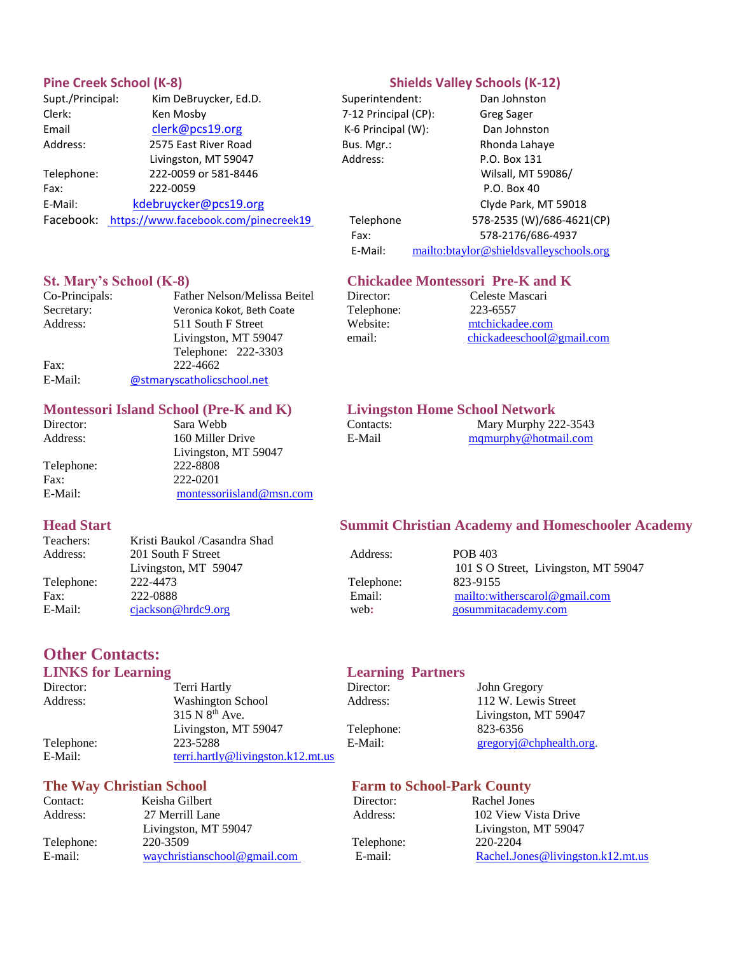| Supt./Principal: | Kim DeBruycker, Ed.D.                | Superintendent:         | Dan Johnsto   |
|------------------|--------------------------------------|-------------------------|---------------|
| Clerk:           | Ken Mosby                            | 7-12 Principal (CP):    | Greg Sager    |
| Email            | clerk@pcs19.org                      | $K-6$ Principal $(W)$ : | Dan Johnsto   |
| Address:         | 2575 East River Road                 | Bus. Mgr.:              | Rhonda Laha   |
|                  | Livingston, MT 59047                 | Address:                | P.O. Box 131  |
| Telephone:       | 222-0059 or 581-8446                 |                         | Wilsall, MT!  |
| Fax:             | 222-0059                             |                         | P.O. Box 40   |
| E-Mail:          | kdebruycker@pcs19.org                |                         | Clyde Park, I |
| Facebook:        | https://www.facebook.com/pinecreek19 | Telephone               | 578-2535 (W)  |
|                  |                                      |                         |               |

### Pine Creek School (K-8) **Shields Valley Schools (K-12)**

Superintendent: Dan Johnston 7-12 Principal (CP): Greg Sager K-6 Principal (W): Dan Johnston Bus. Mgr.: 2575 Rhonda Lahaye Address: P.O. Box 131 Wilsall, MT 59086/ Clyde Park, MT 59018 19 Telephone 578-2535 (W)/686-4621(CP) Fax: 578-2176/686-4937 E-Mail: <mailto:btaylor@shieldsvalleyschools.org>

### **St. Mary's School (K-8) Chickadee Montessori Pre-K and K**

| Co-Principals: | Father Nelson/Melissa Beitel |
|----------------|------------------------------|
| Secretary:     | Veronica Kokot, Beth Coate   |
| Address:       | 511 South F Street           |
|                | Livingston, MT 59047         |
|                | Telephone: 222-3303          |
| Fax:           | 222-4662                     |
| E-Mail:        | @stmaryscatholicschool.net   |

# **Montessori Island School (Pre-K and K)** Livingston Home School Network<br>Director: Sara Webb Contacts: Mary Murphy 22

Address: 160 Miller Drive Telephone: 222-8808

Livingston, MT 59047 Fax: 222-0201 E-Mail: [montessoriisland@msn.com](mailto:montessoriisland@msn.com)

Director: Celeste Mascari Telephone: 223-6557 Website: mtchickadee.com

| Director: | Sara Webb        | Contacts: | Mary Murphy 222-3543 |
|-----------|------------------|-----------|----------------------|
| Address:  | 160 Miller Drive | E-Mail    | mamurphy@hotmail.com |

email: chickadeeschool@gmail.com

|          | Address:                                                                                                     | POB 403                              |
|----------|--------------------------------------------------------------------------------------------------------------|--------------------------------------|
|          |                                                                                                              | 101 S O Street, Livingston, MT 59047 |
| 222-4473 |                                                                                                              | 823-9155                             |
|          |                                                                                                              | mailto: witherscarol @gmail.com      |
|          |                                                                                                              | gosummitacademy.com                  |
|          | Kristi Baukol /Casandra Shad<br>201 South F Street<br>Livingston, MT 59047<br>222-0888<br>ciackson@hrdc9.org | Telephone:<br>Email:<br>web:         |

# **Other Contacts:**

| Director:  | Terri Hartly                         | Director:  | John Gregory           |
|------------|--------------------------------------|------------|------------------------|
| Address:   | Washington School                    | Address:   | 112 W. Lewis Street    |
|            | $315 N 8^{th}$ Ave.                  |            | Livingston, MT 59047   |
|            | Livingston, MT 59047                 | Telephone: | 823-6356               |
| Telephone: | 223-5288                             | E-Mail:    | gregoryj@chphedth.org. |
| E-Mail:    | $terri.$ hartly@livingston.k12.mt.us |            |                        |

| Keisha Gilbert               |
|------------------------------|
| 27 Merrill Lane              |
| Livingston, MT 59047         |
| 220-3509                     |
| waychristianschool@gmail.com |
|                              |

### **Head Start Summit Christian Academy and Homeschooler Academy**

|         | 101 D O D   |
|---------|-------------|
| ephone: | 823-9155    |
| ail:    | mailto: wit |
| :د      | gosummita   |
|         |             |

### **LINKS for Learning Contract Learning Partners**

### **The Way Christian School Farm to School-Park County**

Director: Rachel Jones Telephone: 220-2204

Address: 27 Merrill 202 View Vista Drive Livingston, MT 59047 E-mail: [Rachel.Jones@livingston.k12.mt.us](mailto:Rachel.Jones@livingston.k12.mt.us)